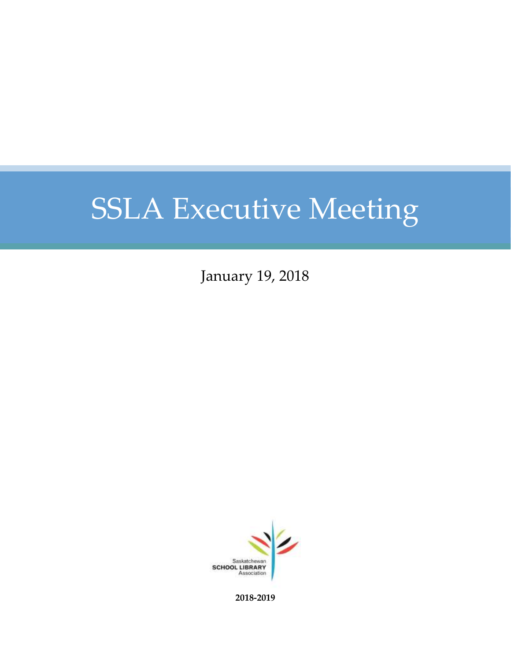January 19, 2018



**2018-2019**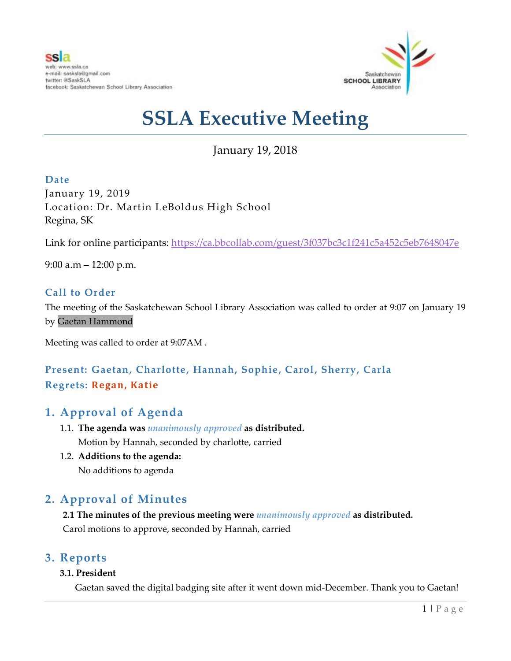

January 19, 2018

**Date** January 19, 2019 Location: Dr. Martin LeBoldus High School Regina, SK

Link for online participants:<https://ca.bbcollab.com/guest/3f037bc3c1f241c5a452c5eb7648047e>

9:00 a.m  $-$  12:00 p.m.

### **Call to Order**

The meeting of the Saskatchewan School Library Association was called to order at 9:07 on January 19 by Gaetan Hammond

Meeting was called to order at 9:07AM .

### **Present: Gaetan, Charlotte, Hannah, Sophie, Carol, Sherry, Carla Regrets: Regan, Katie**

### **1. Approval of Agenda**

- 1.1. **The agenda was** *unanimously approved* **as distributed.** Motion by Hannah, seconded by charlotte, carried
- 1.2. **Additions to the agenda:** No additions to agenda

# **2. Approval of Minutes**

**2.1 The minutes of the previous meeting were** *unanimously approved* **as distributed.** Carol motions to approve, seconded by Hannah, carried

### **3. Reports**

### **3.1. President**

Gaetan saved the digital badging site after it went down mid-December. Thank you to Gaetan!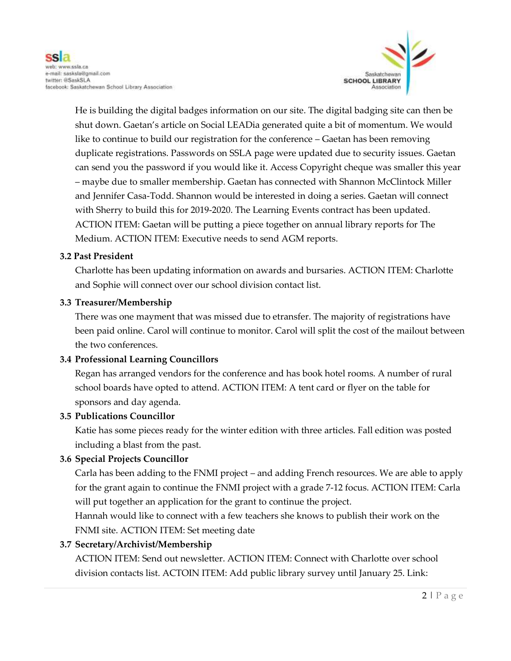

He is building the digital badges information on our site. The digital badging site can then be shut down. Gaetan's article on Social LEADia generated quite a bit of momentum. We would like to continue to build our registration for the conference – Gaetan has been removing duplicate registrations. Passwords on SSLA page were updated due to security issues. Gaetan can send you the password if you would like it. Access Copyright cheque was smaller this year – maybe due to smaller membership. Gaetan has connected with Shannon McClintock Miller and Jennifer Casa-Todd. Shannon would be interested in doing a series. Gaetan will connect with Sherry to build this for 2019-2020. The Learning Events contract has been updated. ACTION ITEM: Gaetan will be putting a piece together on annual library reports for The Medium. ACTION ITEM: Executive needs to send AGM reports.

#### **3.2 Past President**

Charlotte has been updating information on awards and bursaries. ACTION ITEM: Charlotte and Sophie will connect over our school division contact list.

#### **3.3 Treasurer/Membership**

There was one mayment that was missed due to etransfer. The majority of registrations have been paid online. Carol will continue to monitor. Carol will split the cost of the mailout between the two conferences.

### **3.4 Professional Learning Councillors**

Regan has arranged vendors for the conference and has book hotel rooms. A number of rural school boards have opted to attend. ACTION ITEM: A tent card or flyer on the table for sponsors and day agenda.

#### **3.5 Publications Councillor**

Katie has some pieces ready for the winter edition with three articles. Fall edition was posted including a blast from the past.

### **3.6 Special Projects Councillor**

Carla has been adding to the FNMI project – and adding French resources. We are able to apply for the grant again to continue the FNMI project with a grade 7-12 focus. ACTION ITEM: Carla will put together an application for the grant to continue the project.

Hannah would like to connect with a few teachers she knows to publish their work on the FNMI site. ACTION ITEM: Set meeting date

#### **3.7 Secretary/Archivist/Membership**

ACTION ITEM: Send out newsletter. ACTION ITEM: Connect with Charlotte over school division contacts list. ACTOIN ITEM: Add public library survey until January 25. Link: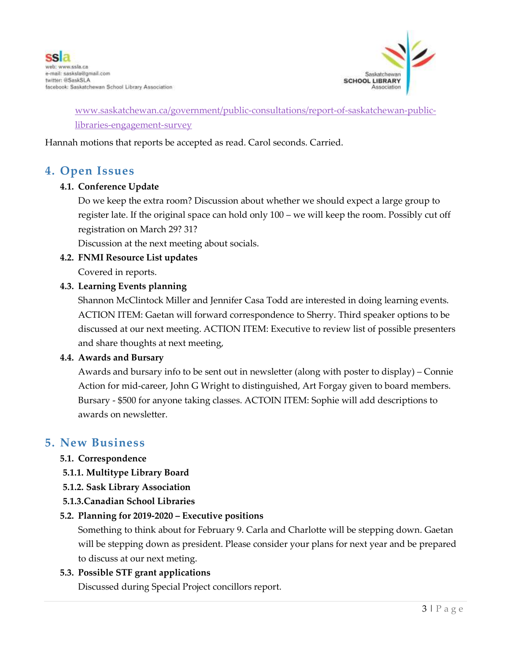

### [www.saskatchewan.ca/government/public-consultations/report-of-saskatchewan-public](http://www.saskatchewan.ca/government/public-consultations/report-of-saskatchewan-public-libraries-engagement-survey)[libraries-engagement-survey](http://www.saskatchewan.ca/government/public-consultations/report-of-saskatchewan-public-libraries-engagement-survey)

Hannah motions that reports be accepted as read. Carol seconds. Carried.

### **4. Open Issues**

#### **4.1. Conference Update**

Do we keep the extra room? Discussion about whether we should expect a large group to register late. If the original space can hold only 100 – we will keep the room. Possibly cut off registration on March 29? 31?

Discussion at the next meeting about socials.

### **4.2. FNMI Resource List updates**

Covered in reports.

#### **4.3. Learning Events planning**

Shannon McClintock Miller and Jennifer Casa Todd are interested in doing learning events. ACTION ITEM: Gaetan will forward correspondence to Sherry. Third speaker options to be discussed at our next meeting. ACTION ITEM: Executive to review list of possible presenters and share thoughts at next meeting,

#### **4.4. Awards and Bursary**

Awards and bursary info to be sent out in newsletter (along with poster to display) – Connie Action for mid-career, John G Wright to distinguished, Art Forgay given to board members. Bursary - \$500 for anyone taking classes. ACTOIN ITEM: Sophie will add descriptions to awards on newsletter.

### **5. New Business**

### **5.1. Correspondence**

- **5.1.1. Multitype Library Board**
- **5.1.2. Sask Library Association**
- **5.1.3.Canadian School Libraries**

#### **5.2. Planning for 2019-2020 – Executive positions**

Something to think about for February 9. Carla and Charlotte will be stepping down. Gaetan will be stepping down as president. Please consider your plans for next year and be prepared to discuss at our next meting.

#### **5.3. Possible STF grant applications**

Discussed during Special Project concillors report.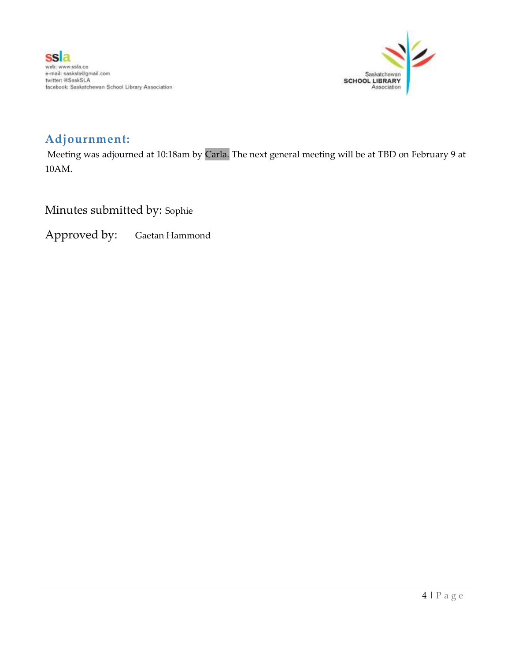

# **Adjournment:**

Meeting was adjourned at 10:18am by Carla. The next general meeting will be at TBD on February 9 at 10AM.

Minutes submitted by: Sophie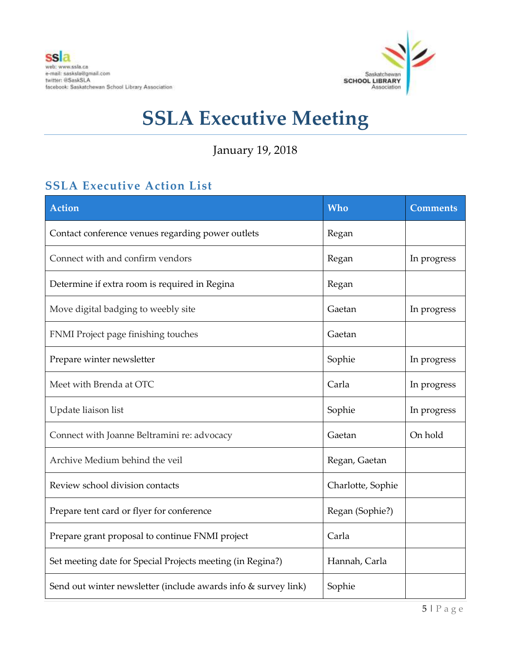

January 19, 2018

# **SSLA Executive Action List**

| <b>Action</b>                                                  | <b>Who</b>        | <b>Comments</b> |
|----------------------------------------------------------------|-------------------|-----------------|
| Contact conference venues regarding power outlets              | Regan             |                 |
| Connect with and confirm vendors                               | Regan             | In progress     |
| Determine if extra room is required in Regina                  | Regan             |                 |
| Move digital badging to weebly site                            | Gaetan            | In progress     |
| FNMI Project page finishing touches                            | Gaetan            |                 |
| Prepare winter newsletter                                      | Sophie            | In progress     |
| Meet with Brenda at OTC                                        | Carla             | In progress     |
| Update liaison list                                            | Sophie            | In progress     |
| Connect with Joanne Beltramini re: advocacy                    | Gaetan            | On hold         |
| Archive Medium behind the veil                                 | Regan, Gaetan     |                 |
| Review school division contacts                                | Charlotte, Sophie |                 |
| Prepare tent card or flyer for conference                      | Regan (Sophie?)   |                 |
| Prepare grant proposal to continue FNMI project                | Carla             |                 |
| Set meeting date for Special Projects meeting (in Regina?)     | Hannah, Carla     |                 |
| Send out winter newsletter (include awards info & survey link) | Sophie            |                 |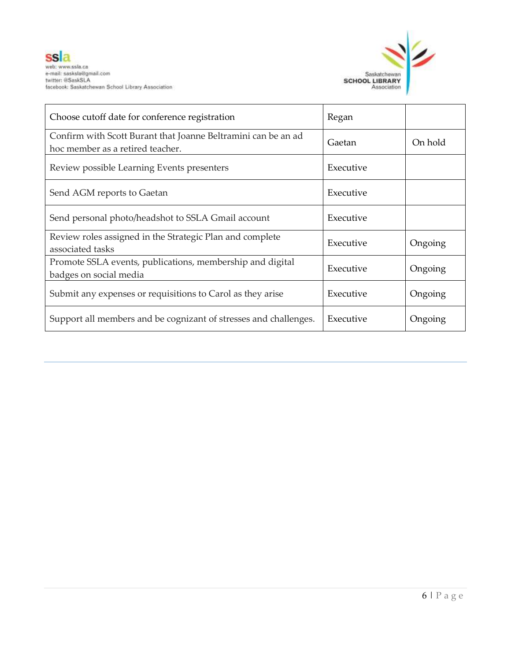

| Choose cutoff date for conference registration                                                    | Regan     |         |
|---------------------------------------------------------------------------------------------------|-----------|---------|
| Confirm with Scott Burant that Joanne Beltramini can be an ad<br>hoc member as a retired teacher. | Gaetan    | On hold |
| Review possible Learning Events presenters                                                        | Executive |         |
| Send AGM reports to Gaetan                                                                        | Executive |         |
| Send personal photo/headshot to SSLA Gmail account                                                | Executive |         |
| Review roles assigned in the Strategic Plan and complete<br>associated tasks                      | Executive | Ongoing |
| Promote SSLA events, publications, membership and digital<br>badges on social media               | Executive | Ongoing |
| Submit any expenses or requisitions to Carol as they arise                                        | Executive | Ongoing |
| Support all members and be cognizant of stresses and challenges.                                  | Executive | Ongoing |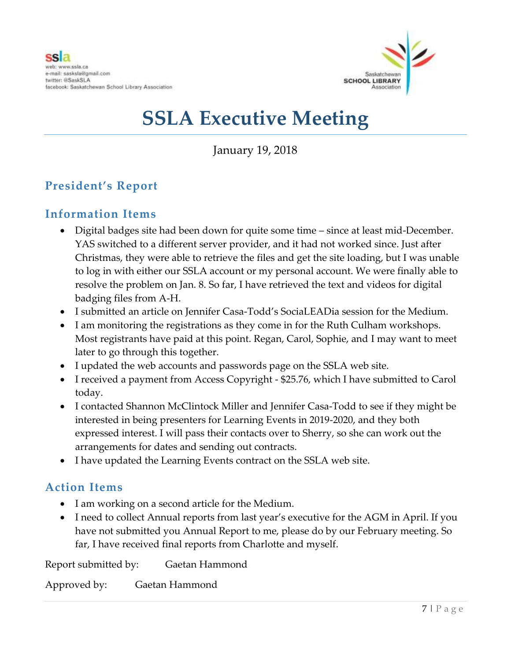

January 19, 2018

# **President's Report**

### **Information Items**

- Digital badges site had been down for quite some time since at least mid-December. YAS switched to a different server provider, and it had not worked since. Just after Christmas, they were able to retrieve the files and get the site loading, but I was unable to log in with either our SSLA account or my personal account. We were finally able to resolve the problem on Jan. 8. So far, I have retrieved the text and videos for digital badging files from A-H.
- I submitted an article on Jennifer Casa-Todd's SociaLEADia session for the Medium.
- I am monitoring the registrations as they come in for the Ruth Culham workshops. Most registrants have paid at this point. Regan, Carol, Sophie, and I may want to meet later to go through this together.
- I updated the web accounts and passwords page on the SSLA web site.
- I received a payment from Access Copyright \$25.76, which I have submitted to Carol today.
- I contacted Shannon McClintock Miller and Jennifer Casa-Todd to see if they might be interested in being presenters for Learning Events in 2019-2020, and they both expressed interest. I will pass their contacts over to Sherry, so she can work out the arrangements for dates and sending out contracts.
- I have updated the Learning Events contract on the SSLA web site.

### **Action Items**

- I am working on a second article for the Medium.
- I need to collect Annual reports from last year's executive for the AGM in April. If you have not submitted you Annual Report to me, please do by our February meeting. So far, I have received final reports from Charlotte and myself.

Report submitted by: Gaetan Hammond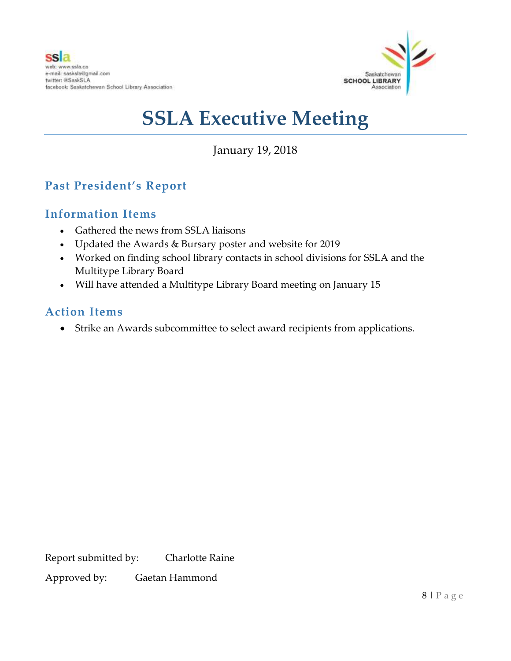

January 19, 2018

# **Past President's Report**

### **Information Items**

- Gathered the news from SSLA liaisons
- Updated the Awards & Bursary poster and website for 2019
- Worked on finding school library contacts in school divisions for SSLA and the Multitype Library Board
- Will have attended a Multitype Library Board meeting on January 15

### **Action Items**

Strike an Awards subcommittee to select award recipients from applications.

Report submitted by: Charlotte Raine Approved by: Gaetan Hammond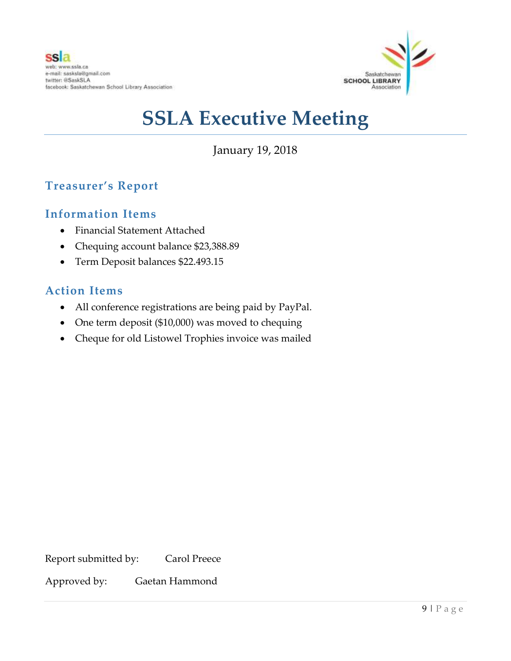

January 19, 2018

# **Treasurer's Report**

### **Information Items**

- Financial Statement Attached
- Chequing account balance \$23,388.89
- Term Deposit balances \$22.493.15

### **Action Items**

- All conference registrations are being paid by PayPal.
- One term deposit (\$10,000) was moved to chequing
- Cheque for old Listowel Trophies invoice was mailed

Report submitted by: Carol Preece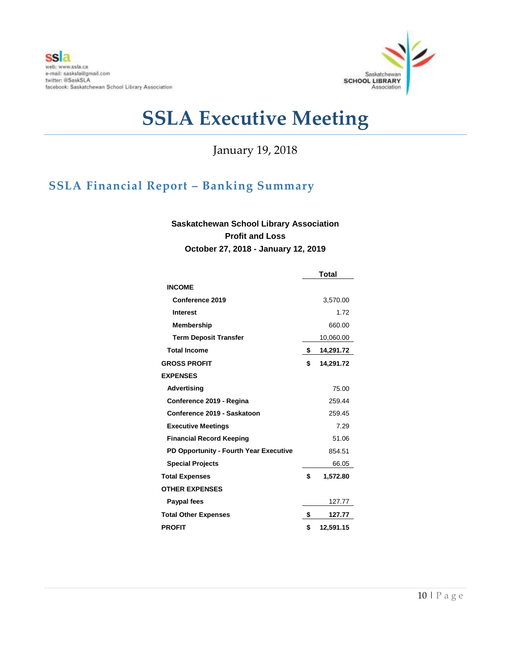

January 19, 2018

# **SSLA Financial Report – Banking Summary**

### **Saskatchewan School Library Association Profit and Loss October 27, 2018 - January 12, 2019**

|                                        | <b>Total</b> |           |
|----------------------------------------|--------------|-----------|
| <b>INCOME</b>                          |              |           |
| Conference 2019                        |              | 3,570.00  |
| <b>Interest</b>                        |              | 1.72      |
| Membership                             |              | 660.00    |
| <b>Term Deposit Transfer</b>           |              | 10,060.00 |
| <b>Total Income</b>                    | \$           | 14,291.72 |
| <b>GROSS PROFIT</b>                    | \$           | 14,291.72 |
| <b>EXPENSES</b>                        |              |           |
| Advertising                            |              | 75.00     |
| Conference 2019 - Regina               |              | 259.44    |
| Conference 2019 - Saskatoon            |              | 259.45    |
| <b>Executive Meetings</b>              |              | 7.29      |
| <b>Financial Record Keeping</b>        |              | 51.06     |
| PD Opportunity - Fourth Year Executive |              | 854.51    |
| <b>Special Projects</b>                |              | 66.05     |
| <b>Total Expenses</b>                  | \$           | 1,572.80  |
| <b>OTHER EXPENSES</b>                  |              |           |
| Paypal fees                            |              | 127.77    |
| <b>Total Other Expenses</b>            | \$           | 127.77    |
| <b>PROFIT</b>                          | \$           | 12,591.15 |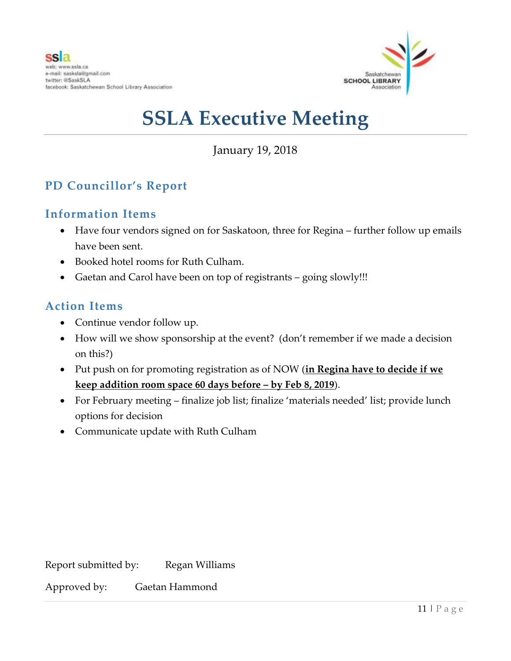

January 19, 2018

# **PD Councillor's Report**

### **Information Items**

- Have four vendors signed on for Saskatoon, three for Regina further follow up emails have been sent.
- Booked hotel rooms for Ruth Culham.
- Gaetan and Carol have been on top of registrants going slowly!!!

### **Action Items**

- Continue vendor follow up.
- How will we show sponsorship at the event? (don't remember if we made a decision on this?)
- Put push on for promoting registration as of NOW (**in Regina have to decide if we keep addition room space 60 days before – by Feb 8, 2019**).
- For February meeting finalize job list; finalize 'materials needed' list; provide lunch options for decision
- Communicate update with Ruth Culham

| Report submitted by: | Regan Williams |
|----------------------|----------------|
|                      |                |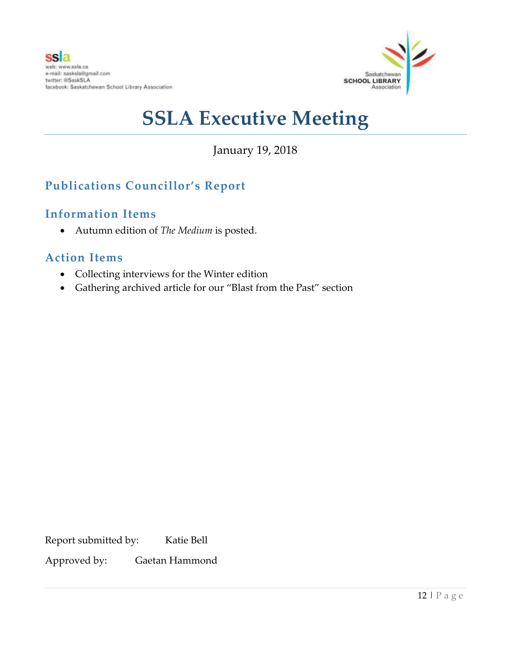

January 19, 2018

# **Publications Councillor's Report**

### **Information Items**

Autumn edition of *The Medium* is posted.

### **Action Items**

- Collecting interviews for the Winter edition
- Gathering archived article for our "Blast from the Past" section

Report submitted by: Katie Bell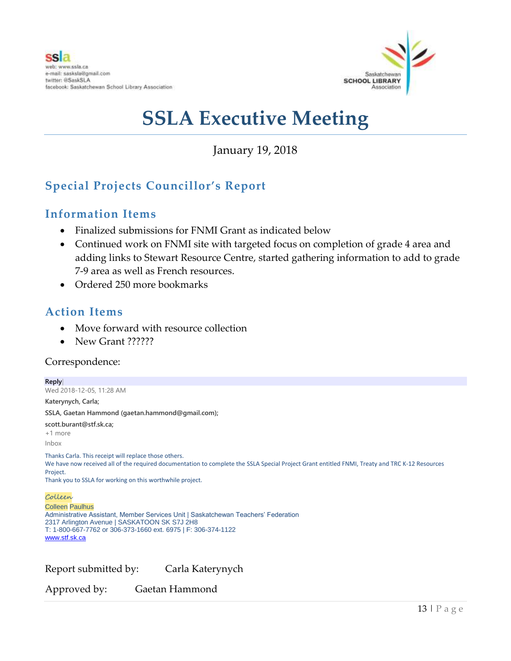

January 19, 2018

# **Special Projects Councillor's Report**

### **Information Items**

- Finalized submissions for FNMI Grant as indicated below
- Continued work on FNMI site with targeted focus on completion of grade 4 area and adding links to Stewart Resource Centre, started gathering information to add to grade 7-9 area as well as French resources.
- Ordered 250 more bookmarks

### **Action Items**

- Move forward with resource collection
- New Grant ??????

### Correspondence:

**Reply|** Wed 2018-12-05, 11:28 AM **Katerynych, Carla; SSLA, Gaetan Hammond (gaetan.hammond@gmail.com); scott.burant@stf.sk.ca;** +1 more Inbox Thanks Carla. This receipt will replace those others. We have now received all of the required documentation to complete the SSLA Special Project Grant entitled FNMI, Treaty and TRC K-12 Resources Project. Thank you to SSLA for working on this worthwhile project. Colleen Colleen Paulhus Administrative Assistant, Member Services Unit | Saskatchewan Teachers' Federation 2317 Arlington Avenue | SASKATOON SK S7J 2H8 T: 1-800-667-7762 or 306-373-1660 ext. 6975 | F: 306-374-1122 [www.stf.sk.ca](http://www.stf.sk.ca/)

Report submitted by: Carla Katerynych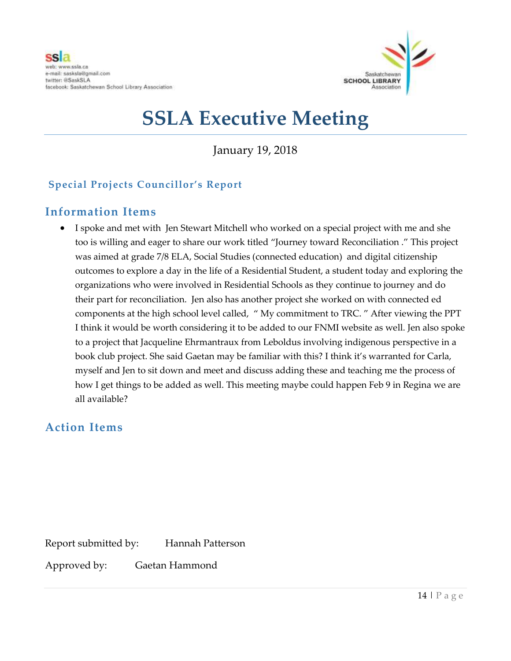

January 19, 2018

### **Special Projects Councillor's Report**

### **Information Items**

 I spoke and met with Jen Stewart Mitchell who worked on a special project with me and she too is willing and eager to share our work titled "Journey toward Reconciliation ." This project was aimed at grade 7/8 ELA, Social Studies (connected education) and digital citizenship outcomes to explore a day in the life of a Residential Student, a student today and exploring the organizations who were involved in Residential Schools as they continue to journey and do their part for reconciliation. Jen also has another project she worked on with connected ed components at the high school level called, " My commitment to TRC. " After viewing the PPT I think it would be worth considering it to be added to our FNMI website as well. Jen also spoke to a project that Jacqueline Ehrmantraux from Leboldus involving indigenous perspective in a book club project. She said Gaetan may be familiar with this? I think it's warranted for Carla, myself and Jen to sit down and meet and discuss adding these and teaching me the process of how I get things to be added as well. This meeting maybe could happen Feb 9 in Regina we are all available?

### **Action Items**

Report submitted by: Hannah Patterson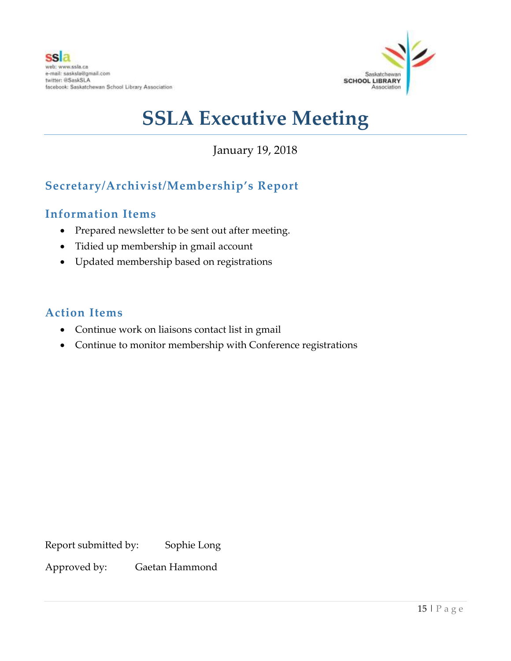

January 19, 2018

# **Secretary/Archivist/Membership's Report**

### **Information Items**

- Prepared newsletter to be sent out after meeting.
- Tidied up membership in gmail account
- Updated membership based on registrations

### **Action Items**

- Continue work on liaisons contact list in gmail
- Continue to monitor membership with Conference registrations

Report submitted by: Sophie Long